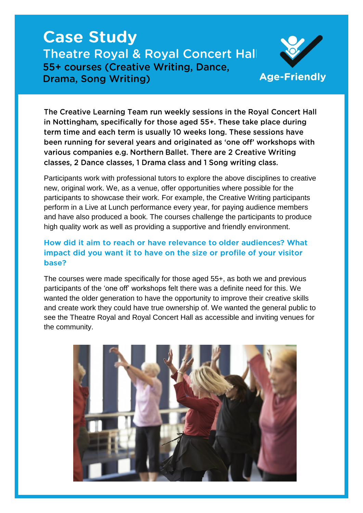# **Case Study Theatre Royal & Royal Concert Hall** 55+ courses (Creative Writing, Dance, Drama, Song Writing)



The Creative Learning Team run weekly sessions in the Royal Concert Hall in Nottingham, specifically for those aged 55+. These take place during term time and each term is usually 10 weeks long. These sessions have been running for several years and originated as 'one off' workshops with various companies e.g. Northern Ballet. There are 2 Creative Writing classes, 2 Dance classes, 1 Drama class and 1 Song writing class.

Participants work with professional tutors to explore the above disciplines to creative new, original work. We, as a venue, offer opportunities where possible for the participants to showcase their work. For example, the Creative Writing participants perform in a Live at Lunch performance every year, for paying audience members and have also produced a book. The courses challenge the participants to produce high quality work as well as providing a supportive and friendly environment.

# How did it aim to reach or have relevance to older audiences? What impact did you want it to have on the size or profile of your visitor base?

The courses were made specifically for those aged 55+, as both we and previous participants of the 'one off' workshops felt there was a definite need for this. We wanted the older generation to have the opportunity to improve their creative skills and create work they could have true ownership of. We wanted the general public to see the Theatre Royal and Royal Concert Hall as accessible and inviting venues for the community.

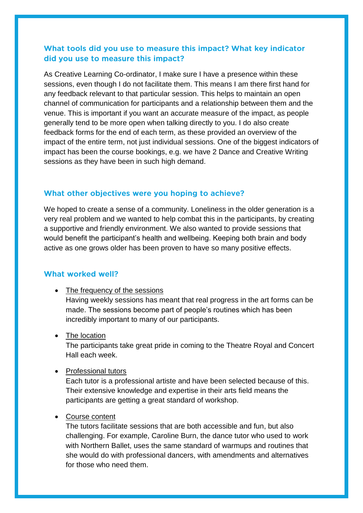# What tools did you use to measure this impact? What key indicator did you use to measure this impact?

As Creative Learning Co-ordinator, I make sure I have a presence within these sessions, even though I do not facilitate them. This means I am there first hand for any feedback relevant to that particular session. This helps to maintain an open channel of communication for participants and a relationship between them and the venue. This is important if you want an accurate measure of the impact, as people generally tend to be more open when talking directly to you. I do also create feedback forms for the end of each term, as these provided an overview of the impact of the entire term, not just individual sessions. One of the biggest indicators of impact has been the course bookings, e.g. we have 2 Dance and Creative Writing sessions as they have been in such high demand.

## What other objectives were you hoping to achieve?

We hoped to create a sense of a community. Loneliness in the older generation is a very real problem and we wanted to help combat this in the participants, by creating a supportive and friendly environment. We also wanted to provide sessions that would benefit the participant's health and wellbeing. Keeping both brain and body active as one grows older has been proven to have so many positive effects.

## What worked well?

• The frequency of the sessions Having weekly sessions has meant that real progress in the art forms can be made. The sessions become part of people's routines which has been incredibly important to many of our participants.

## • The location

The participants take great pride in coming to the Theatre Royal and Concert Hall each week.

## • Professional tutors

Each tutor is a professional artiste and have been selected because of this. Their extensive knowledge and expertise in their arts field means the participants are getting a great standard of workshop.

## Course content

The tutors facilitate sessions that are both accessible and fun, but also challenging. For example, Caroline Burn, the dance tutor who used to work with Northern Ballet, uses the same standard of warmups and routines that she would do with professional dancers, with amendments and alternatives for those who need them.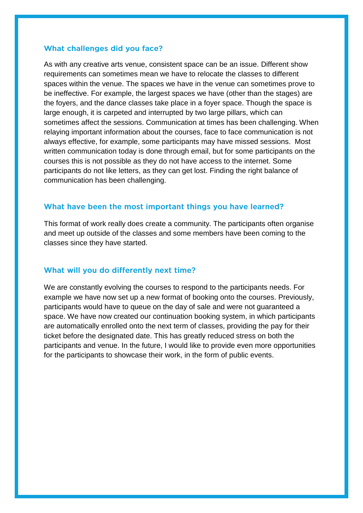#### What challenges did you face?

As with any creative arts venue, consistent space can be an issue. Different show requirements can sometimes mean we have to relocate the classes to different spaces within the venue. The spaces we have in the venue can sometimes prove to be ineffective. For example, the largest spaces we have (other than the stages) are the foyers, and the dance classes take place in a foyer space. Though the space is large enough, it is carpeted and interrupted by two large pillars, which can sometimes affect the sessions. Communication at times has been challenging. When relaying important information about the courses, face to face communication is not always effective, for example, some participants may have missed sessions. Most written communication today is done through email, but for some participants on the courses this is not possible as they do not have access to the internet. Some participants do not like letters, as they can get lost. Finding the right balance of communication has been challenging.

#### What have been the most important things you have learned?

This format of work really does create a community. The participants often organise and meet up outside of the classes and some members have been coming to the classes since they have started.

#### What will you do differently next time?

We are constantly evolving the courses to respond to the participants needs. For example we have now set up a new format of booking onto the courses. Previously, participants would have to queue on the day of sale and were not guaranteed a space. We have now created our continuation booking system, in which participants are automatically enrolled onto the next term of classes, providing the pay for their ticket before the designated date. This has greatly reduced stress on both the participants and venue. In the future, I would like to provide even more opportunities for the participants to showcase their work, in the form of public events.